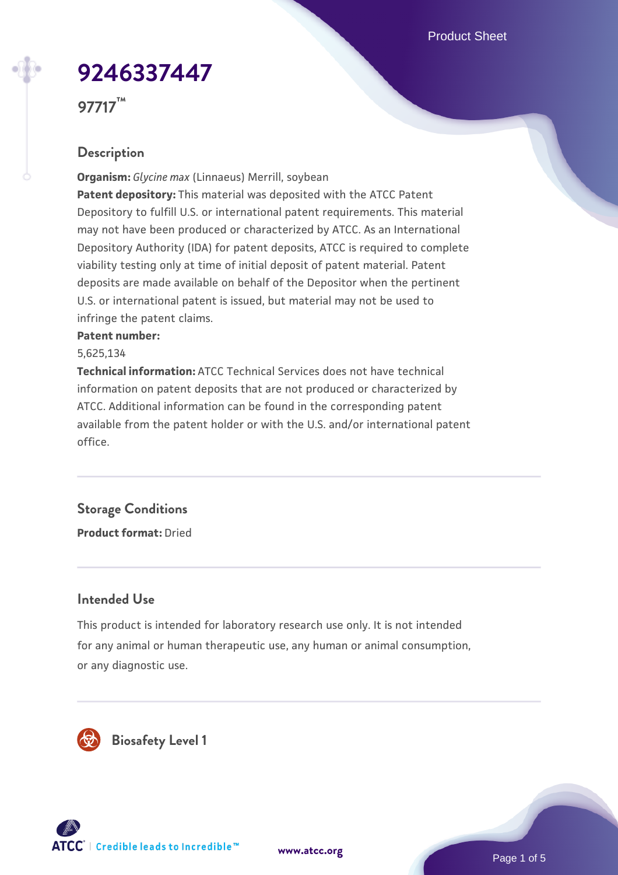Product Sheet

# **[9246337447](https://www.atcc.org/products/97717)**

**97717™**

# **Description**

**Organism:** *Glycine max* (Linnaeus) Merrill, soybean **Patent depository:** This material was deposited with the ATCC Patent Depository to fulfill U.S. or international patent requirements. This material may not have been produced or characterized by ATCC. As an International Depository Authority (IDA) for patent deposits, ATCC is required to complete viability testing only at time of initial deposit of patent material. Patent deposits are made available on behalf of the Depositor when the pertinent U.S. or international patent is issued, but material may not be used to infringe the patent claims.

#### **Patent number:**

5,625,134

**Technical information:** ATCC Technical Services does not have technical information on patent deposits that are not produced or characterized by ATCC. Additional information can be found in the corresponding patent available from the patent holder or with the U.S. and/or international patent office.

# **Storage Conditions**

**Product format:** Dried

#### **Intended Use**

This product is intended for laboratory research use only. It is not intended for any animal or human therapeutic use, any human or animal consumption, or any diagnostic use.



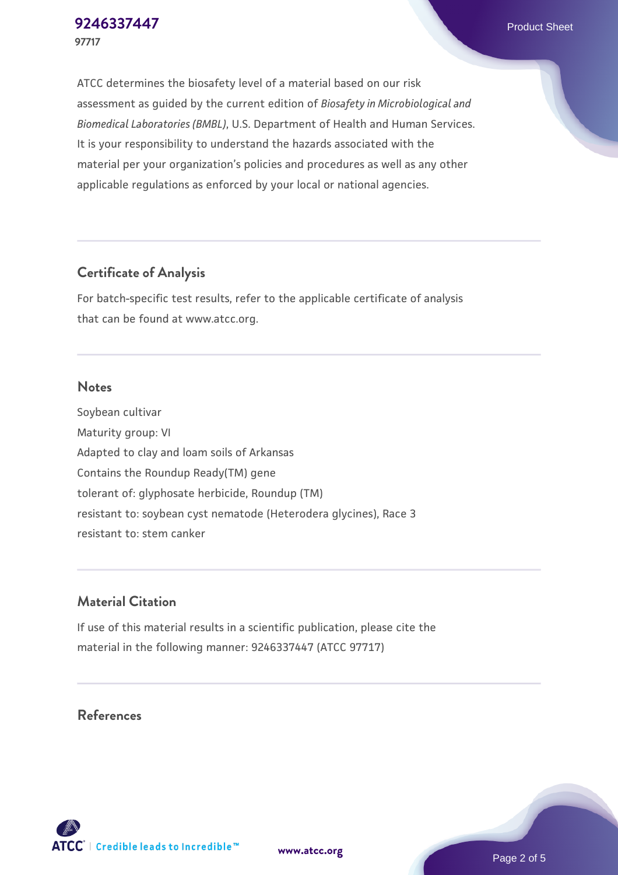ATCC determines the biosafety level of a material based on our risk assessment as guided by the current edition of *Biosafety in Microbiological and Biomedical Laboratories (BMBL)*, U.S. Department of Health and Human Services. It is your responsibility to understand the hazards associated with the material per your organization's policies and procedures as well as any other applicable regulations as enforced by your local or national agencies.

### **Certificate of Analysis**

For batch-specific test results, refer to the applicable certificate of analysis that can be found at www.atcc.org.

#### **Notes**

Soybean cultivar Maturity group: VI Adapted to clay and loam soils of Arkansas Contains the Roundup Ready(TM) gene tolerant of: glyphosate herbicide, Roundup (TM) resistant to: soybean cyst nematode (Heterodera glycines), Race 3 resistant to: stem canker

# **Material Citation**

If use of this material results in a scientific publication, please cite the material in the following manner: 9246337447 (ATCC 97717)

#### **References**



**[www.atcc.org](http://www.atcc.org)**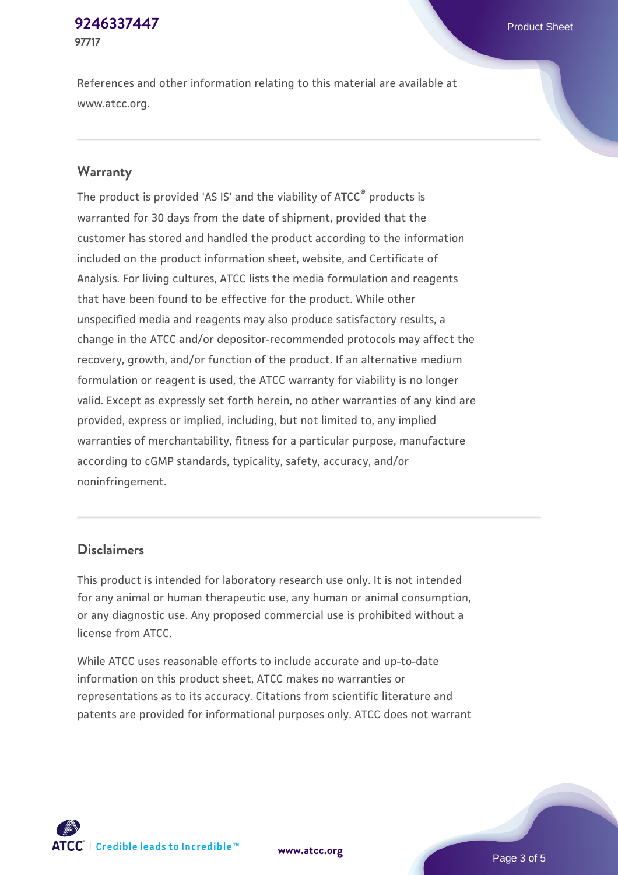#### **[9246337447](https://www.atcc.org/products/97717)** Product Sheet **97717**

References and other information relating to this material are available at www.atcc.org.

#### **Warranty**

The product is provided 'AS IS' and the viability of ATCC® products is warranted for 30 days from the date of shipment, provided that the customer has stored and handled the product according to the information included on the product information sheet, website, and Certificate of Analysis. For living cultures, ATCC lists the media formulation and reagents that have been found to be effective for the product. While other unspecified media and reagents may also produce satisfactory results, a change in the ATCC and/or depositor-recommended protocols may affect the recovery, growth, and/or function of the product. If an alternative medium formulation or reagent is used, the ATCC warranty for viability is no longer valid. Except as expressly set forth herein, no other warranties of any kind are provided, express or implied, including, but not limited to, any implied warranties of merchantability, fitness for a particular purpose, manufacture according to cGMP standards, typicality, safety, accuracy, and/or noninfringement.

#### **Disclaimers**

This product is intended for laboratory research use only. It is not intended for any animal or human therapeutic use, any human or animal consumption, or any diagnostic use. Any proposed commercial use is prohibited without a license from ATCC.

While ATCC uses reasonable efforts to include accurate and up-to-date information on this product sheet, ATCC makes no warranties or representations as to its accuracy. Citations from scientific literature and patents are provided for informational purposes only. ATCC does not warrant



**[www.atcc.org](http://www.atcc.org)**

Page 3 of 5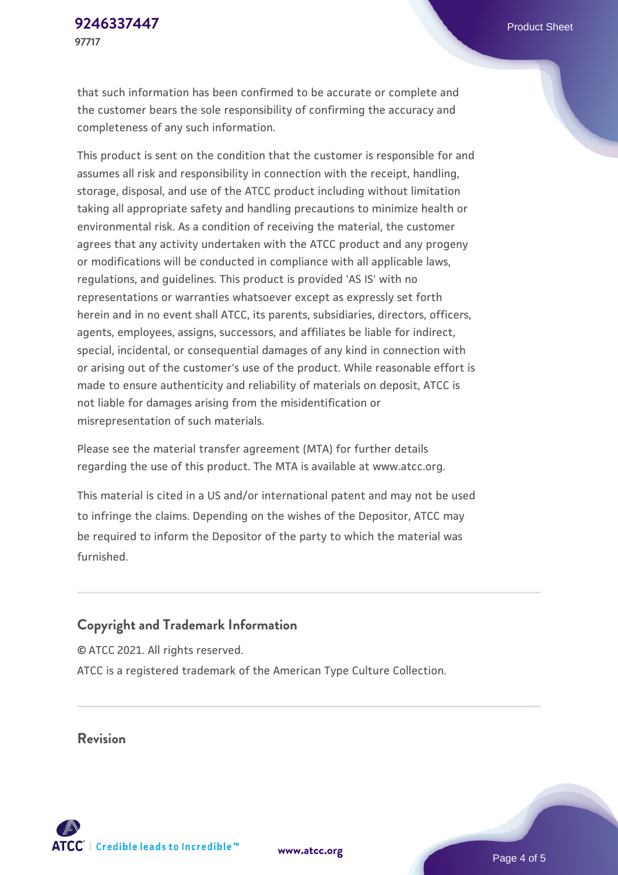that such information has been confirmed to be accurate or complete and the customer bears the sole responsibility of confirming the accuracy and completeness of any such information.

This product is sent on the condition that the customer is responsible for and assumes all risk and responsibility in connection with the receipt, handling, storage, disposal, and use of the ATCC product including without limitation taking all appropriate safety and handling precautions to minimize health or environmental risk. As a condition of receiving the material, the customer agrees that any activity undertaken with the ATCC product and any progeny or modifications will be conducted in compliance with all applicable laws, regulations, and guidelines. This product is provided 'AS IS' with no representations or warranties whatsoever except as expressly set forth herein and in no event shall ATCC, its parents, subsidiaries, directors, officers, agents, employees, assigns, successors, and affiliates be liable for indirect, special, incidental, or consequential damages of any kind in connection with or arising out of the customer's use of the product. While reasonable effort is made to ensure authenticity and reliability of materials on deposit, ATCC is not liable for damages arising from the misidentification or misrepresentation of such materials.

Please see the material transfer agreement (MTA) for further details regarding the use of this product. The MTA is available at www.atcc.org.

This material is cited in a US and/or international patent and may not be used to infringe the claims. Depending on the wishes of the Depositor, ATCC may be required to inform the Depositor of the party to which the material was furnished.

#### **Copyright and Trademark Information**

© ATCC 2021. All rights reserved. ATCC is a registered trademark of the American Type Culture Collection.

**Revision**